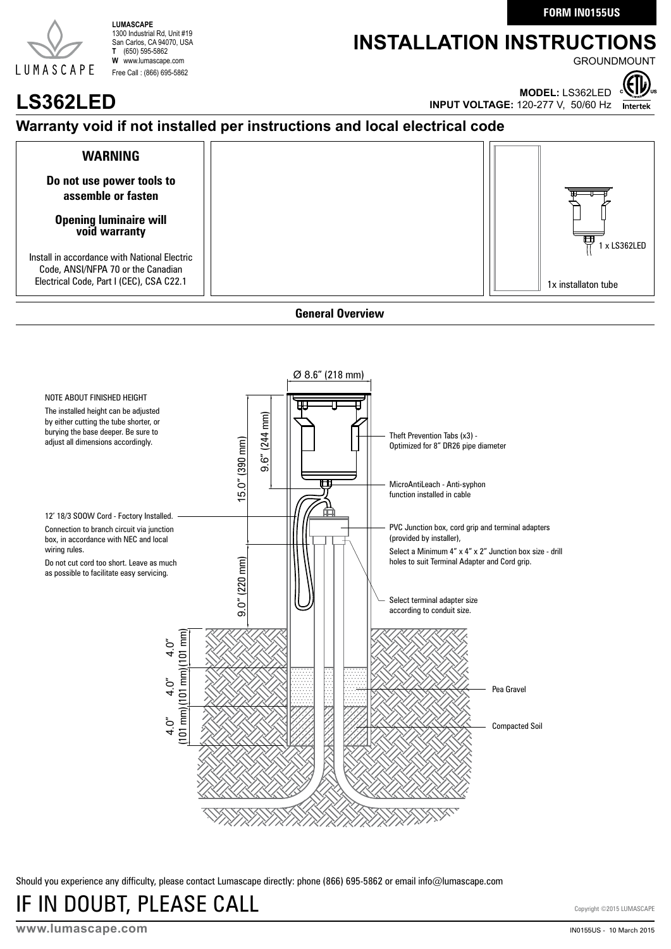**FORM IN0155US**

# LUMASCAPE

**LUMASCAPE** 1300 Industrial Rd, Unit #19 San Carlos, CA 94070, USA **T** (650) 595-5862 **W** www.lumascape.com Free Call : (866) 695-5862

## **INSTALLATION INSTRUCTIONS**

**GROUNDMOUNT** 



**LS362LED MODEL:** LS362LED

#### **Warranty void if not installed per instructions and local electrical code**



#### **General Overview**



Should you experience any difficulty, please contact Lumascape directly: phone (866) 695-5862 or email info@lumascape.com

# IF IN DOUBT, PLEASE CALL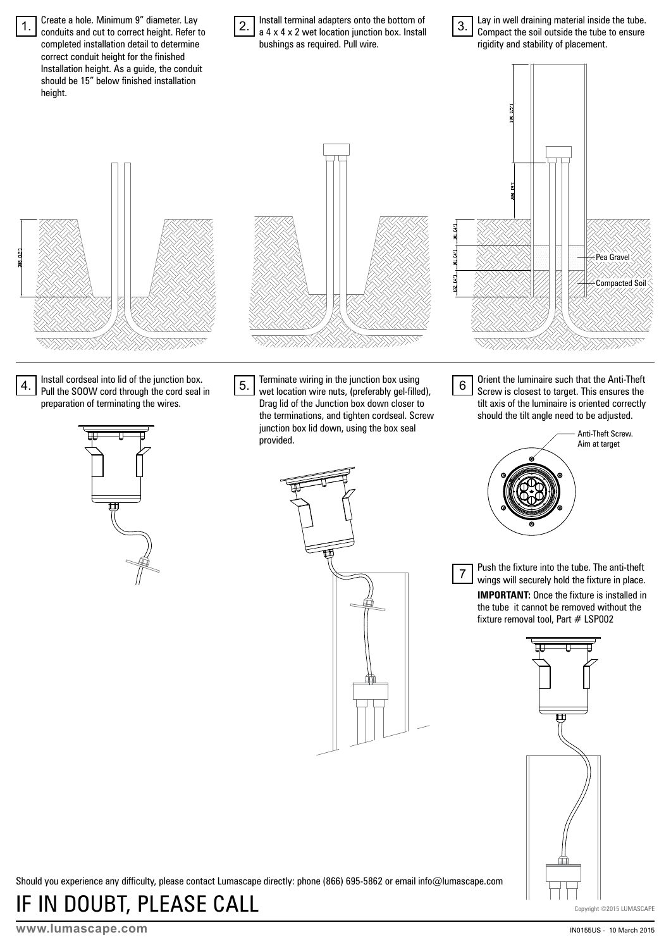Create a hole. Minimum 9" diameter. Lay Install terminal adapters onto the bottom of Lay in well draining material inside the tube. 1. 2. 3. conduits and cut to correct height. Refer to a 4 x 4 x 2 wet location junction box. Install Compact the soil outside the tube to ensure completed installation detail to determine bushings as required. Pull wire. rigidity and stability of placement. correct conduit height for the finished Installation height. As a guide, the conduit should be 15" below finished installation height. Pea Gravel **NANTICO** Compacted Soi Install cordseal into lid of the junction box. Terminate wiring in the junction box using Orient the luminaire such that the Anti-Theft 4. 5. 6 Pull the SOOW cord through the cord seal in wet location wire nuts, (preferably gel-filled), Screw is closest to target. This ensures the preparation of terminating the wires. Drag lid of the Junction box down closer to tilt axis of the luminaire is oriented correctly the terminations, and tighten cordseal. Screw should the tilt angle need to be adjusted. junction box lid down, using the box seal Anti-Theft Screw. provided. Aim at targetPush the fixture into the tube. The anti-theft 7 wings will securely hold the fixture in place. **IMPORTANT:** Once the fixture is installed in the tube it cannot be removed without the fixture removal tool, Part # LSP002

Should you experience any difficulty, please contact Lumascape directly: phone (866) 695-5862 or email info@lumascape.com

IF IN DOUBT, PLEASE CALL

Copyright ©2015 LUMASCAPE